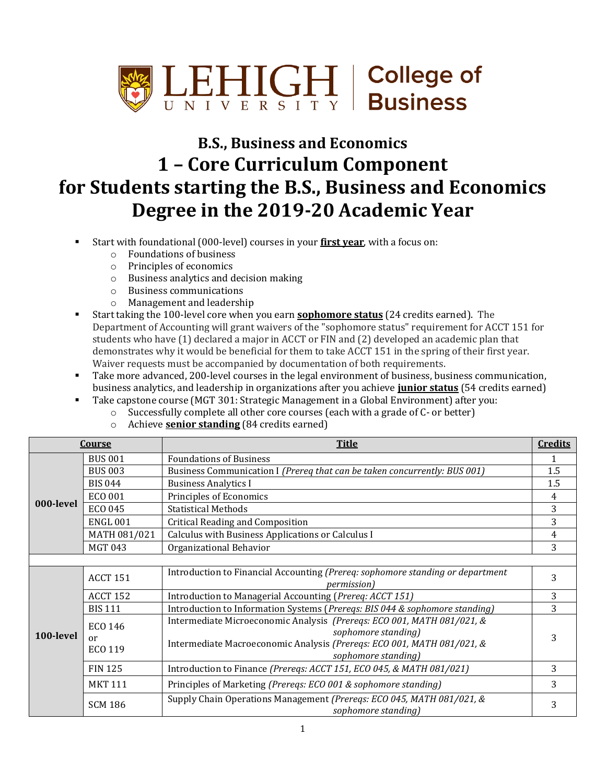

## **B.S., Business and Economics 1 – Core Curriculum Component for Students starting the B.S., Business and Economics Degree in the 2019-20 Academic Year**

- Start with foundational (000-level) courses in your **first year**, with a focus on:
	- o Foundations of business
	- o Principles of economics
	- o Business analytics and decision making
	- o Business communications
	- o Management and leadership
- Start taking the 100-level core when you earn **sophomore status** (24 credits earned). The Department of Accounting will grant waivers of the "sophomore status" requirement for ACCT 151 for students who have (1) declared a major in ACCT or FIN and (2) developed an academic plan that demonstrates why it would be beneficial for them to take ACCT 151 in the spring of their first year. Waiver requests must be accompanied by documentation of both requirements.
- Take more advanced, 200-level courses in the legal environment of business, business communication, business analytics, and leadership in organizations after you achieve **junior status** (54 credits earned)
- Take capstone course (MGT 301: Strategic Management in a Global Environment) after you:
	- o Successfully complete all other core courses (each with a grade of C- or better)
	- o Achieve **senior standing** (84 credits earned)

| Course    |                                 | <b>Title</b>                                                                                                                                                                                   | <b>Credits</b> |
|-----------|---------------------------------|------------------------------------------------------------------------------------------------------------------------------------------------------------------------------------------------|----------------|
| 000-level | <b>BUS 001</b>                  | <b>Foundations of Business</b>                                                                                                                                                                 |                |
|           | <b>BUS 003</b>                  | Business Communication I (Prereq that can be taken concurrently: BUS 001)                                                                                                                      | 1.5            |
|           | <b>BIS 044</b>                  | <b>Business Analytics I</b>                                                                                                                                                                    | 1.5            |
|           | ECO 001                         | Principles of Economics                                                                                                                                                                        | 4              |
|           | ECO 045                         | <b>Statistical Methods</b>                                                                                                                                                                     | 3              |
|           | <b>ENGL 001</b>                 | <b>Critical Reading and Composition</b>                                                                                                                                                        | 3              |
|           | MATH 081/021                    | Calculus with Business Applications or Calculus I                                                                                                                                              | 4              |
|           | <b>MGT 043</b>                  | Organizational Behavior                                                                                                                                                                        | 3              |
|           |                                 |                                                                                                                                                                                                |                |
| 100-level | <b>ACCT 151</b>                 | Introduction to Financial Accounting (Prereq: sophomore standing or department<br><i>permission</i> )                                                                                          | 3              |
|           | <b>ACCT 152</b>                 | Introduction to Managerial Accounting (Prereq: ACCT 151)                                                                                                                                       | 3              |
|           | <b>BIS 111</b>                  | Introduction to Information Systems (Prereqs: BIS 044 & sophomore standing)                                                                                                                    | 3              |
|           | <b>ECO 146</b><br>or<br>ECO 119 | Intermediate Microeconomic Analysis (Prereqs: ECO 001, MATH 081/021, &<br>sophomore standing)<br>Intermediate Macroeconomic Analysis (Prereqs: ECO 001, MATH 081/021, &<br>sophomore standing) | 3              |
|           | <b>FIN 125</b>                  | Introduction to Finance (Preregs: ACCT 151, ECO 045, & MATH 081/021)                                                                                                                           | 3              |
|           | <b>MKT 111</b>                  | Principles of Marketing (Prereqs: ECO 001 & sophomore standing)                                                                                                                                | 3              |
|           | <b>SCM 186</b>                  | Supply Chain Operations Management (Prereqs: ECO 045, MATH 081/021, &<br>sophomore standing)                                                                                                   | 3              |